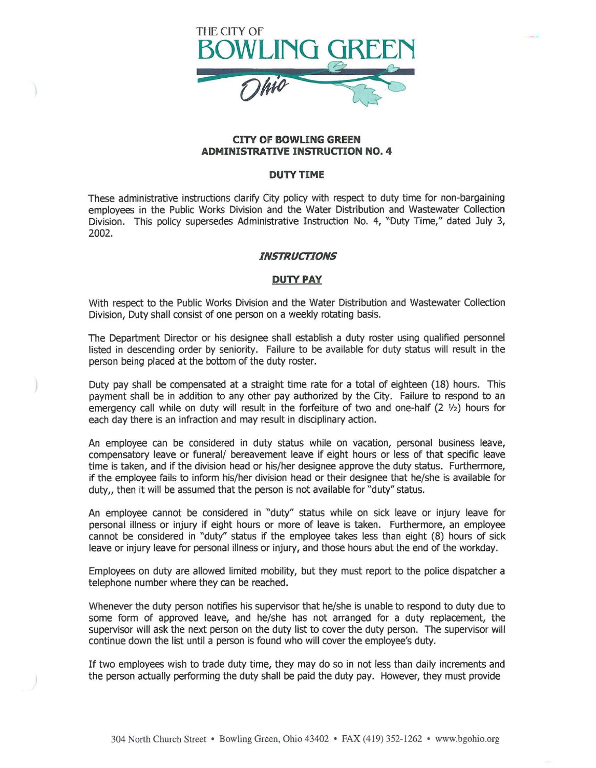

## **CITY OF BOWUNG GREEN ADMINISTRATIVE INSTRUCTION NO. 4**

## **DUTY TIME**

These administrative instructions clarify City policy with respect to duty time for non-bargaining employees in the Public Works Division and the Water Distribution and Wastewater Collection Division. This policy supersedes Administrative Instruction No. 4, "Duty Time," dated July 3, 2002.

## *INSTRUCTIONS*

## **DUTY PAY**

With respect to the Public Works Division and the Water Distribution and Wastewater Collection Division, Duty shall consist of one person on a weekly rotating basis.

The Department Director or his designee shall establish a duty roster using qualified personnel listed in descending order by seniority. Failure to be available for duty status will result in the person being placed at the bottom of the duty roster.

Duty pay shall be compensated at a straight time rate for a total of eighteen (18) hours. This payment shall be in addition to any other pay authorized by the City. Failure to respond to an emergency call while on duty will result in the forfeiture of two and one-half (2  $1/2$ ) hours for each day there is an infraction and may result in disciplinary action.

An employee can be considered in duty status while on vacation, personal business leave, compensatory leave or funeral/ bereavement leave if eight hours or less of that specific leave time is taken, and if the division head or his/her designee approve the duty status. Furthermore, if the employee fails to inform his/her division head or their designee that he/she is available for duty, then it will be assumed that the person is not available for "duty" status.

An employee cannot be considered in "duty" status while on sick leave or injury leave for personal illness or injury if eight hours or more of leave is taken. Furthermore, an employee cannot be considered in "duty" status if the employee takes less than eight (8) hours of sick leave or injury leave for personal illness or injury, and those hours abut the end of the workday.

Employees on duty are allowed limited mobility, but they must report to the police dispatcher a telephone number where they can be reached.

Whenever the duty person notifies his supervisor that he/she is unable to respond to duty due to some form of approved leave, and he/she has not arranged for a duty replacement, the supervisor will ask the next person on the duty list to cover the duty person. The supervisor will continue down the list until a person is found who will cover the employee's duty.

If two employees wish to trade duty time, they may do so in not less than daily increments and the person actually performing the duty shall be paid the duty pay. However, they must provide